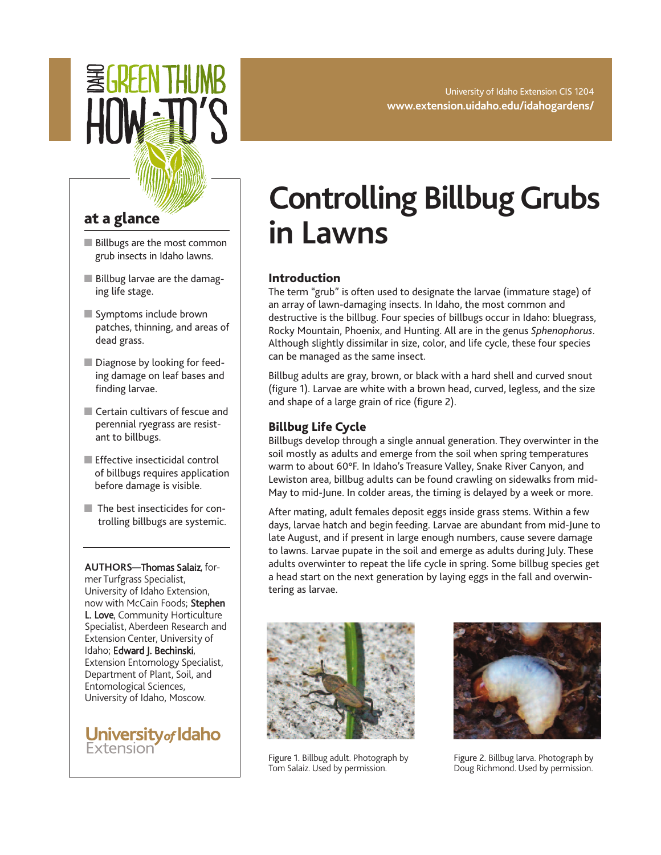University of Idaho Extension CIS 1204 **www.extension.uidaho.edu/idahogardens/**

## **at a glance**

- Billbugs are the most common grub insects in Idaho lawns.
- **■** Billbug larvae are the damaging life stage.
- **■** Symptoms include brown patches, thinning, and areas of dead grass.
- Diagnose by looking for feeding damage on leaf bases and finding larvae.
- Certain cultivars of fescue and perennial ryegrass are resistant to billbugs.
- Effective insecticidal control of billbugs requires application before damage is visible.
- The best insecticides for controlling billbugs are systemic.

**AUTHORS—**Thomas Salaiz, former Turfgrass Specialist, University of Idaho Extension, now with McCain Foods; Stephen L. Love, Community Horticulture Specialist, Aberdeen Research and Extension Center, University of Idaho; Edward J. Bechinski, Extension Entomology Specialist, Department of Plant, Soil, and Entomological Sciences, University of Idaho, Moscow.

University of Idaho Extension

# **Controlling Billbug Grubs in Lawns**

### **Introduction**

The term "grub" is often used to designate the larvae (immature stage) of an array of lawn-damaging insects. In Idaho, the most common and destructive is the billbug. Four species of billbugs occur in Idaho: bluegrass, Rocky Mountain, Phoenix, and Hunting. All are in the genus *Sphenophorus*. Although slightly dissimilar in size, color, and life cycle, these four species can be managed as the same insect.

Billbug adults are gray, brown, or black with a hard shell and curved snout (figure 1). Larvae are white with a brown head, curved, legless, and the size and shape of a large grain of rice (figure 2).

#### **Billbug Life Cycle**

Billbugs develop through a single annual generation. They overwinter in the soil mostly as adults and emerge from the soil when spring temperatures warm to about 60°F. In Idaho's Treasure Valley, Snake River Canyon, and Lewiston area, billbug adults can be found crawling on sidewalks from mid-May to mid-June. In colder areas, the timing is delayed by a week or more.

After mating, adult females deposit eggs inside grass stems. Within a few days, larvae hatch and begin feeding. Larvae are abundant from mid-June to late August, and if present in large enough numbers, cause severe damage to lawns. Larvae pupate in the soil and emerge as adults during July. These adults overwinter to repeat the life cycle in spring. Some billbug species get a head start on the next generation by laying eggs in the fall and overwintering as larvae.



Figure 1. Billbug adult. Photograph by Tom Salaiz. Used by permission.



Figure 2. Billbug larva. Photograph by Doug Richmond. Used by permission.